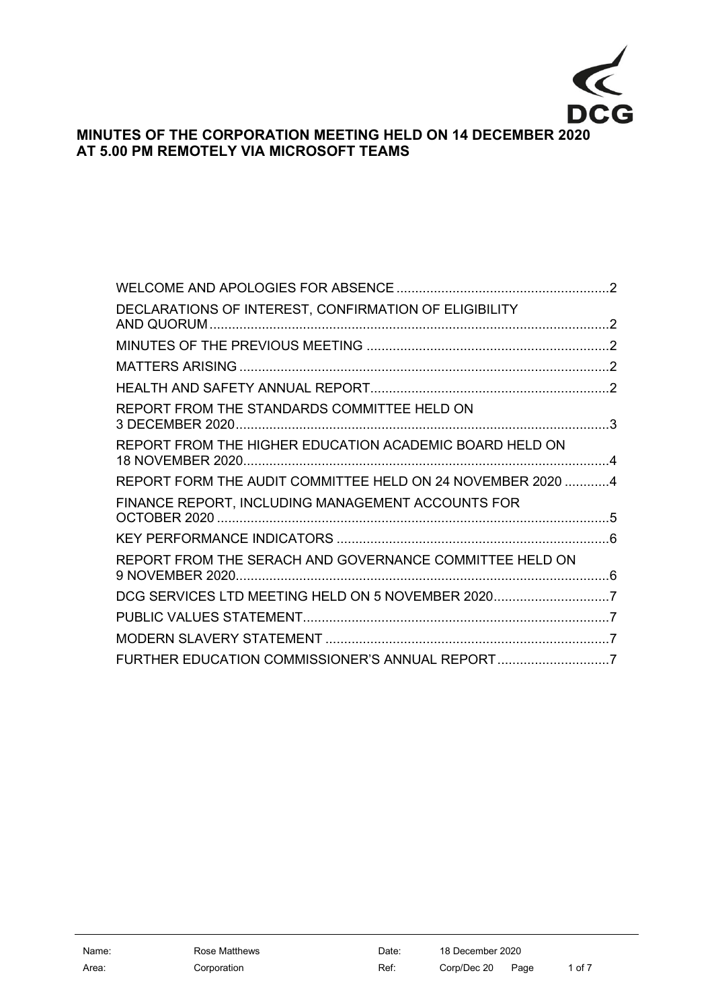

# **MINUTES OF THE CORPORATION MEETING HELD ON 14 DECEMBER 2020 AT 5.00 PM REMOTELY VIA MICROSOFT TEAMS**

| DECLARATIONS OF INTEREST, CONFIRMATION OF ELIGIBILITY      |  |
|------------------------------------------------------------|--|
|                                                            |  |
|                                                            |  |
|                                                            |  |
| REPORT FROM THE STANDARDS COMMITTEE HELD ON                |  |
| REPORT FROM THE HIGHER EDUCATION ACADEMIC BOARD HELD ON    |  |
| REPORT FORM THE AUDIT COMMITTEE HELD ON 24 NOVEMBER 2020 4 |  |
| FINANCE REPORT, INCLUDING MANAGEMENT ACCOUNTS FOR          |  |
|                                                            |  |
| REPORT FROM THE SERACH AND GOVERNANCE COMMITTEE HELD ON    |  |
| DCG SERVICES LTD MEETING HELD ON 5 NOVEMBER 20207          |  |
|                                                            |  |
|                                                            |  |
| FURTHER EDUCATION COMMISSIONER'S ANNUAL REPORT7            |  |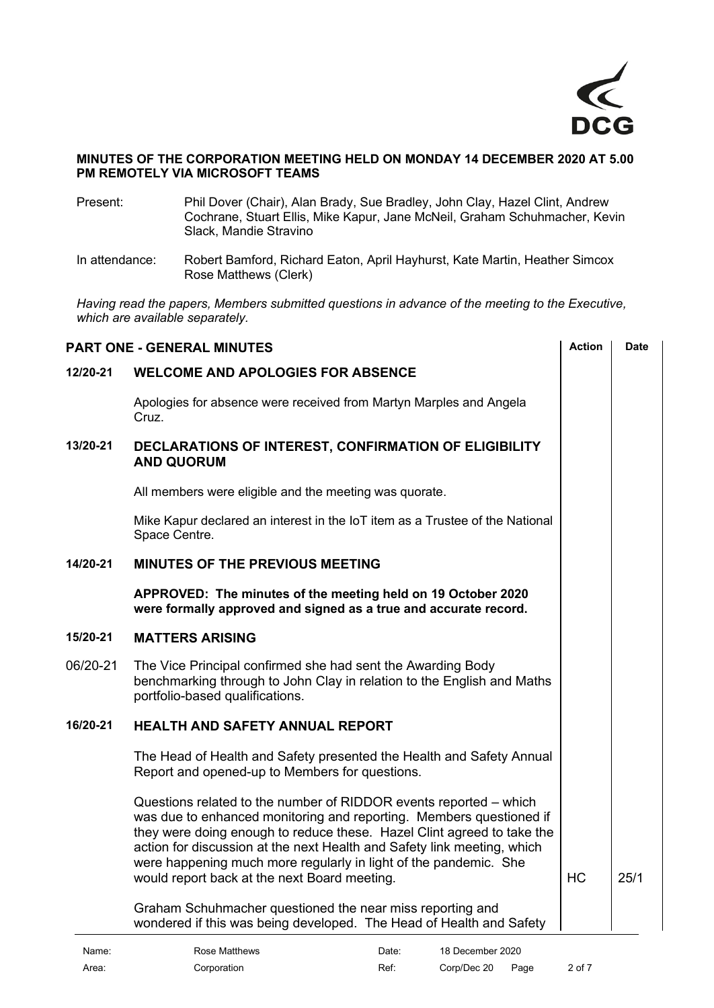

#### **MINUTES OF THE CORPORATION MEETING HELD ON MONDAY 14 DECEMBER 2020 AT 5.00 PM REMOTELY VIA MICROSOFT TEAMS**

- Present: Phil Dover (Chair), Alan Brady, Sue Bradley, John Clay, Hazel Clint, Andrew Cochrane, Stuart Ellis, Mike Kapur, Jane McNeil, Graham Schuhmacher, Kevin Slack, Mandie Stravino
- In attendance: Robert Bamford, Richard Eaton, April Hayhurst, Kate Martin, Heather Simcox Rose Matthews (Clerk)

*Having read the papers, Members submitted questions in advance of the meeting to the Executive, which are available separately.*

<span id="page-1-4"></span><span id="page-1-3"></span><span id="page-1-2"></span><span id="page-1-1"></span><span id="page-1-0"></span>

| <b>Action</b><br><b>Date</b><br><b>PART ONE - GENERAL MINUTES</b> |                                                                                                                                                                                                                                                                                                                                                                                                                   |           |      |
|-------------------------------------------------------------------|-------------------------------------------------------------------------------------------------------------------------------------------------------------------------------------------------------------------------------------------------------------------------------------------------------------------------------------------------------------------------------------------------------------------|-----------|------|
| 12/20-21                                                          | <b>WELCOME AND APOLOGIES FOR ABSENCE</b>                                                                                                                                                                                                                                                                                                                                                                          |           |      |
|                                                                   | Apologies for absence were received from Martyn Marples and Angela<br>Cruz.                                                                                                                                                                                                                                                                                                                                       |           |      |
| 13/20-21                                                          | DECLARATIONS OF INTEREST, CONFIRMATION OF ELIGIBILITY<br><b>AND QUORUM</b>                                                                                                                                                                                                                                                                                                                                        |           |      |
|                                                                   | All members were eligible and the meeting was quorate.                                                                                                                                                                                                                                                                                                                                                            |           |      |
|                                                                   | Mike Kapur declared an interest in the IoT item as a Trustee of the National<br>Space Centre.                                                                                                                                                                                                                                                                                                                     |           |      |
| 14/20-21                                                          | <b>MINUTES OF THE PREVIOUS MEETING</b>                                                                                                                                                                                                                                                                                                                                                                            |           |      |
|                                                                   | APPROVED: The minutes of the meeting held on 19 October 2020<br>were formally approved and signed as a true and accurate record.                                                                                                                                                                                                                                                                                  |           |      |
| 15/20-21                                                          | <b>MATTERS ARISING</b>                                                                                                                                                                                                                                                                                                                                                                                            |           |      |
| 06/20-21                                                          | The Vice Principal confirmed she had sent the Awarding Body<br>benchmarking through to John Clay in relation to the English and Maths<br>portfolio-based qualifications.                                                                                                                                                                                                                                          |           |      |
| 16/20-21                                                          | <b>HEALTH AND SAFETY ANNUAL REPORT</b>                                                                                                                                                                                                                                                                                                                                                                            |           |      |
|                                                                   | The Head of Health and Safety presented the Health and Safety Annual<br>Report and opened-up to Members for questions.                                                                                                                                                                                                                                                                                            |           |      |
|                                                                   | Questions related to the number of RIDDOR events reported – which<br>was due to enhanced monitoring and reporting. Members questioned if<br>they were doing enough to reduce these. Hazel Clint agreed to take the<br>action for discussion at the next Health and Safety link meeting, which<br>were happening much more regularly in light of the pandemic. She<br>would report back at the next Board meeting. | <b>HC</b> | 25/1 |
|                                                                   | Graham Schuhmacher questioned the near miss reporting and<br>wondered if this was being developed. The Head of Health and Safety                                                                                                                                                                                                                                                                                  |           |      |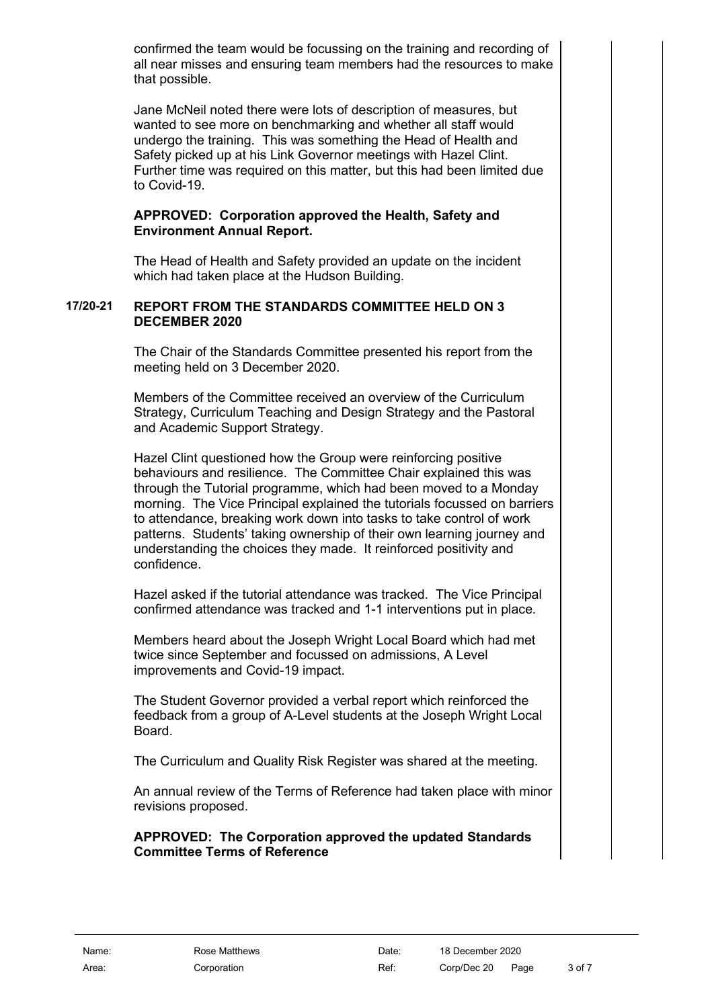confirmed the team would be focussing on the training and recording of all near misses and ensuring team members had the resources to make that possible.

Jane McNeil noted there were lots of description of measures, but wanted to see more on benchmarking and whether all staff would undergo the training. This was something the Head of Health and Safety picked up at his Link Governor meetings with Hazel Clint. Further time was required on this matter, but this had been limited due to Covid-19.

### **APPROVED: Corporation approved the Health, Safety and Environment Annual Report.**

The Head of Health and Safety provided an update on the incident which had taken place at the Hudson Building.

### **17/20-21 REPORT FROM THE STANDARDS COMMITTEE HELD ON 3 DECEMBER 2020**

<span id="page-2-0"></span>The Chair of the Standards Committee presented his report from the meeting held on 3 December 2020.

Members of the Committee received an overview of the Curriculum Strategy, Curriculum Teaching and Design Strategy and the Pastoral and Academic Support Strategy.

Hazel Clint questioned how the Group were reinforcing positive behaviours and resilience. The Committee Chair explained this was through the Tutorial programme, which had been moved to a Monday morning. The Vice Principal explained the tutorials focussed on barriers to attendance, breaking work down into tasks to take control of work patterns. Students' taking ownership of their own learning journey and understanding the choices they made. It reinforced positivity and confidence.

Hazel asked if the tutorial attendance was tracked. The Vice Principal confirmed attendance was tracked and 1-1 interventions put in place.

Members heard about the Joseph Wright Local Board which had met twice since September and focussed on admissions, A Level improvements and Covid-19 impact.

The Student Governor provided a verbal report which reinforced the feedback from a group of A-Level students at the Joseph Wright Local Board.

The Curriculum and Quality Risk Register was shared at the meeting.

An annual review of the Terms of Reference had taken place with minor revisions proposed.

**APPROVED: The Corporation approved the updated Standards Committee Terms of Reference**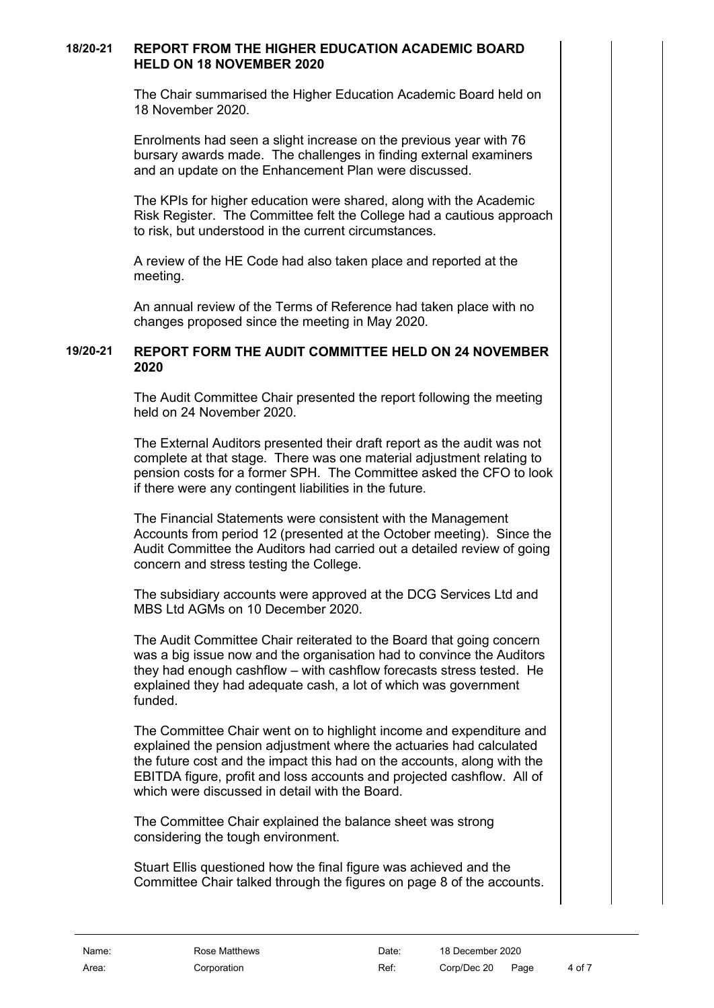### **18/20-21 REPORT FROM THE HIGHER EDUCATION ACADEMIC BOARD HELD ON 18 NOVEMBER 2020**

<span id="page-3-0"></span>The Chair summarised the Higher Education Academic Board held on 18 November 2020.

Enrolments had seen a slight increase on the previous year with 76 bursary awards made. The challenges in finding external examiners and an update on the Enhancement Plan were discussed.

The KPIs for higher education were shared, along with the Academic Risk Register. The Committee felt the College had a cautious approach to risk, but understood in the current circumstances.

A review of the HE Code had also taken place and reported at the meeting.

<span id="page-3-1"></span>An annual review of the Terms of Reference had taken place with no changes proposed since the meeting in May 2020.

### **19/20-21 REPORT FORM THE AUDIT COMMITTEE HELD ON 24 NOVEMBER 2020**

The Audit Committee Chair presented the report following the meeting held on 24 November 2020.

The External Auditors presented their draft report as the audit was not complete at that stage. There was one material adjustment relating to pension costs for a former SPH. The Committee asked the CFO to look if there were any contingent liabilities in the future.

The Financial Statements were consistent with the Management Accounts from period 12 (presented at the October meeting). Since the Audit Committee the Auditors had carried out a detailed review of going concern and stress testing the College.

The subsidiary accounts were approved at the DCG Services Ltd and MBS Ltd AGMs on 10 December 2020.

The Audit Committee Chair reiterated to the Board that going concern was a big issue now and the organisation had to convince the Auditors they had enough cashflow – with cashflow forecasts stress tested. He explained they had adequate cash, a lot of which was government funded.

The Committee Chair went on to highlight income and expenditure and explained the pension adjustment where the actuaries had calculated the future cost and the impact this had on the accounts, along with the EBITDA figure, profit and loss accounts and projected cashflow. All of which were discussed in detail with the Board.

The Committee Chair explained the balance sheet was strong considering the tough environment.

Stuart Ellis questioned how the final figure was achieved and the Committee Chair talked through the figures on page 8 of the accounts.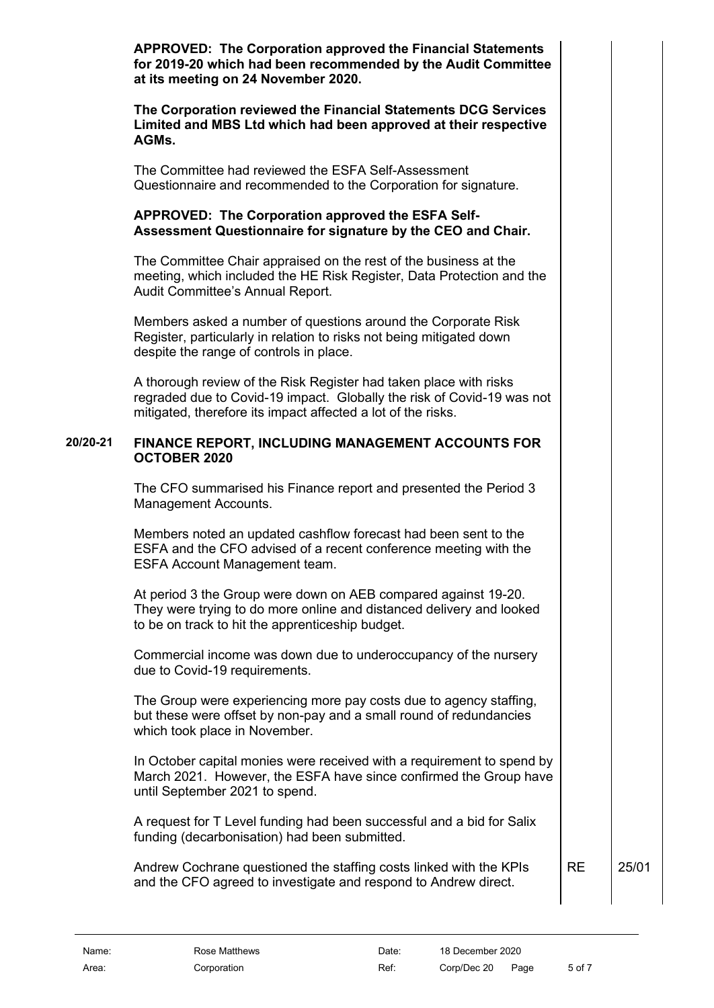**APPROVED: The Corporation approved the Financial Statements for 2019-20 which had been recommended by the Audit Committee at its meeting on 24 November 2020.**

**The Corporation reviewed the Financial Statements DCG Services Limited and MBS Ltd which had been approved at their respective AGMs.**

The Committee had reviewed the ESFA Self-Assessment Questionnaire and recommended to the Corporation for signature.

# **APPROVED: The Corporation approved the ESFA Self-Assessment Questionnaire for signature by the CEO and Chair.**

The Committee Chair appraised on the rest of the business at the meeting, which included the HE Risk Register, Data Protection and the Audit Committee's Annual Report.

Members asked a number of questions around the Corporate Risk Register, particularly in relation to risks not being mitigated down despite the range of controls in place.

A thorough review of the Risk Register had taken place with risks regraded due to Covid-19 impact. Globally the risk of Covid-19 was not mitigated, therefore its impact affected a lot of the risks.

### **20/20-21 FINANCE REPORT, INCLUDING MANAGEMENT ACCOUNTS FOR OCTOBER 2020**

<span id="page-4-0"></span>The CFO summarised his Finance report and presented the Period 3 Management Accounts.

Members noted an updated cashflow forecast had been sent to the ESFA and the CFO advised of a recent conference meeting with the ESFA Account Management team.

At period 3 the Group were down on AEB compared against 19-20. They were trying to do more online and distanced delivery and looked to be on track to hit the apprenticeship budget.

Commercial income was down due to underoccupancy of the nursery due to Covid-19 requirements.

The Group were experiencing more pay costs due to agency staffing, but these were offset by non-pay and a small round of redundancies which took place in November.

In October capital monies were received with a requirement to spend by March 2021. However, the ESFA have since confirmed the Group have until September 2021 to spend.

A request for T Level funding had been successful and a bid for Salix funding (decarbonisation) had been submitted.

Andrew Cochrane questioned the staffing costs linked with the KPIs and the CFO agreed to investigate and respond to Andrew direct. RE 25/01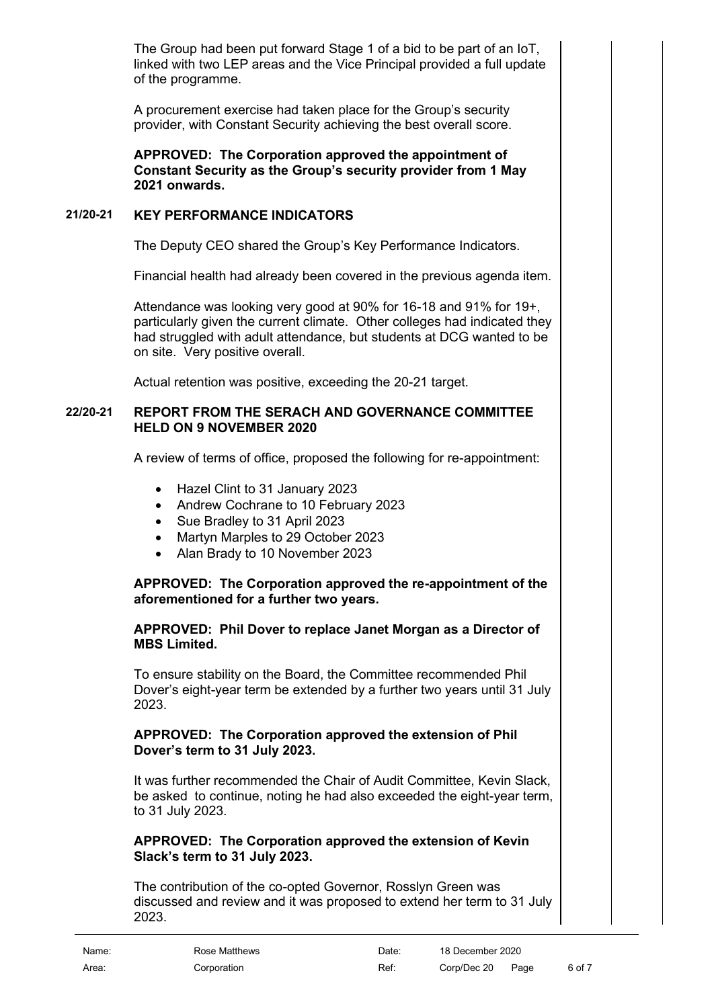The Group had been put forward Stage 1 of a bid to be part of an IoT, linked with two LEP areas and the Vice Principal provided a full update of the programme.

A procurement exercise had taken place for the Group's security provider, with Constant Security achieving the best overall score.

**APPROVED: The Corporation approved the appointment of Constant Security as the Group's security provider from 1 May 2021 onwards.**

# **21/20-21 KEY PERFORMANCE INDICATORS**

<span id="page-5-0"></span>The Deputy CEO shared the Group's Key Performance Indicators.

Financial health had already been covered in the previous agenda item.

Attendance was looking very good at 90% for 16-18 and 91% for 19+, particularly given the current climate. Other colleges had indicated they had struggled with adult attendance, but students at DCG wanted to be on site. Very positive overall.

<span id="page-5-1"></span>Actual retention was positive, exceeding the 20-21 target.

### **22/20-21 REPORT FROM THE SERACH AND GOVERNANCE COMMITTEE HELD ON 9 NOVEMBER 2020**

A review of terms of office, proposed the following for re-appointment:

- Hazel Clint to 31 January 2023
- Andrew Cochrane to 10 February 2023
- Sue Bradley to 31 April 2023
- Martyn Marples to 29 October 2023
- Alan Brady to 10 November 2023

# **APPROVED: The Corporation approved the re-appointment of the aforementioned for a further two years.**

# **APPROVED: Phil Dover to replace Janet Morgan as a Director of MBS Limited.**

To ensure stability on the Board, the Committee recommended Phil Dover's eight-year term be extended by a further two years until 31 July 2023.

# **APPROVED: The Corporation approved the extension of Phil Dover's term to 31 July 2023.**

It was further recommended the Chair of Audit Committee, Kevin Slack, be asked to continue, noting he had also exceeded the eight-year term, to 31 July 2023.

### **APPROVED: The Corporation approved the extension of Kevin Slack's term to 31 July 2023.**

The contribution of the co-opted Governor, Rosslyn Green was discussed and review and it was proposed to extend her term to 31 July 2023.